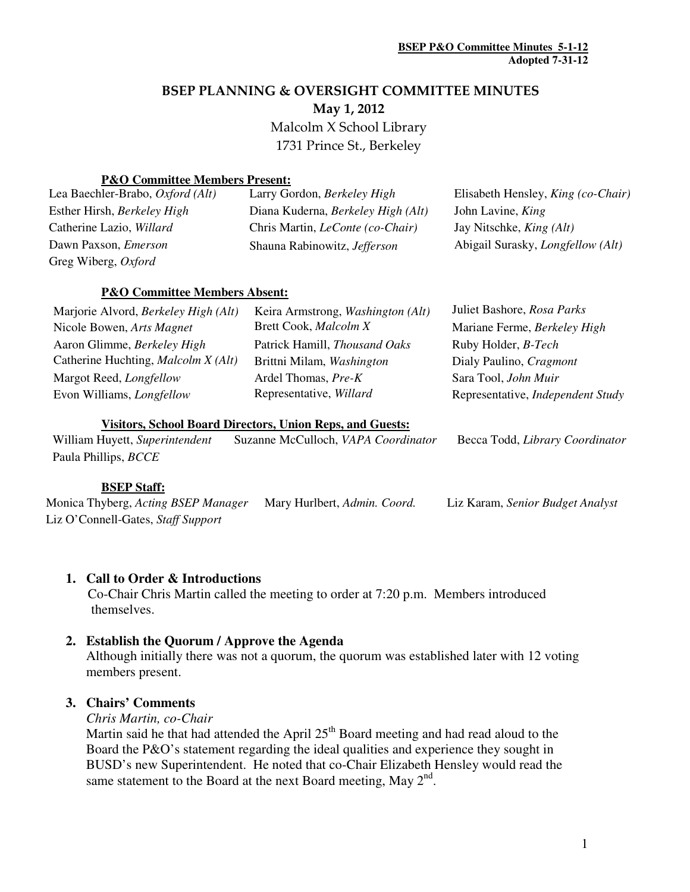# BSEP PLANNING & OVERSIGHT COMMITTEE MINUTES

May 1, 2012

 Malcolm X School Library 1731 Prince St., Berkeley

#### **P&O Committee Members Present:**

| Lea Baechler-Brabo, Oxford (Alt) | Larry Gordon, Berkeley High             | Elisabeth Hensley, <i>King (co-Chair)</i> |
|----------------------------------|-----------------------------------------|-------------------------------------------|
| Esther Hirsh, Berkeley High      | Diana Kuderna, Berkeley High (Alt)      | John Lavine, <i>King</i>                  |
| Catherine Lazio, Willard         | Chris Martin, <i>LeConte</i> (co-Chair) | Jay Nitschke, <i>King (Alt)</i>           |
| Dawn Paxson, <i>Emerson</i>      | Shauna Rabinowitz, Jefferson            | Abigail Surasky, <i>Longfellow</i> (Alt)  |
| Greg Wiberg, Oxford              |                                         |                                           |

### **P&O Committee Members Absent:**

| Marjorie Alvord, Berkeley High (Alt) | Keira Armstrong, Washington (Alt) | Juliet Bashore, Rosa Parks        |
|--------------------------------------|-----------------------------------|-----------------------------------|
| Nicole Bowen, Arts Magnet            | Brett Cook, Malcolm X             | Mariane Ferme, Berkeley High      |
| Aaron Glimme, Berkeley High          | Patrick Hamill, Thousand Oaks     | Ruby Holder, B-Tech               |
| Catherine Huchting, Malcolm X (Alt)  | Brittni Milam, Washington         | Dialy Paulino, Cragmont           |
| Margot Reed, <i>Longfellow</i>       | Ardel Thomas, Pre-K               | Sara Tool, John Muir              |
| Evon Williams, <i>Longfellow</i>     | Representative, Willard           | Representative, Independent Study |
|                                      |                                   |                                   |

#### **Visitors, School Board Directors, Union Reps, and Guests:**

William Huyett, *Superintendent* Suzanne McCulloch, *VAPA Coordinator* Becca Todd, *Library Coordinator* Paula Phillips, *BCCE*

# **BSEP Staff:**

Monica Thyberg, *Acting BSEP Manager* Mary Hurlbert, *Admin. Coord.* Liz Karam, *Senior Budget Analyst*  Liz O'Connell-Gates, *Staff Support*

# **1. Call to Order & Introductions**

 Co-Chair Chris Martin called the meeting to order at 7:20 p.m. Members introduced themselves.

# **2. Establish the Quorum / Approve the Agenda**

Although initially there was not a quorum, the quorum was established later with 12 voting members present.

# **3. Chairs' Comments**

*Chris Martin, co-Chair* 

Martin said he that had attended the April  $25<sup>th</sup>$  Board meeting and had read aloud to the Board the P&O's statement regarding the ideal qualities and experience they sought in BUSD's new Superintendent. He noted that co-Chair Elizabeth Hensley would read the same statement to the Board at the next Board meeting, May  $2<sup>nd</sup>$ .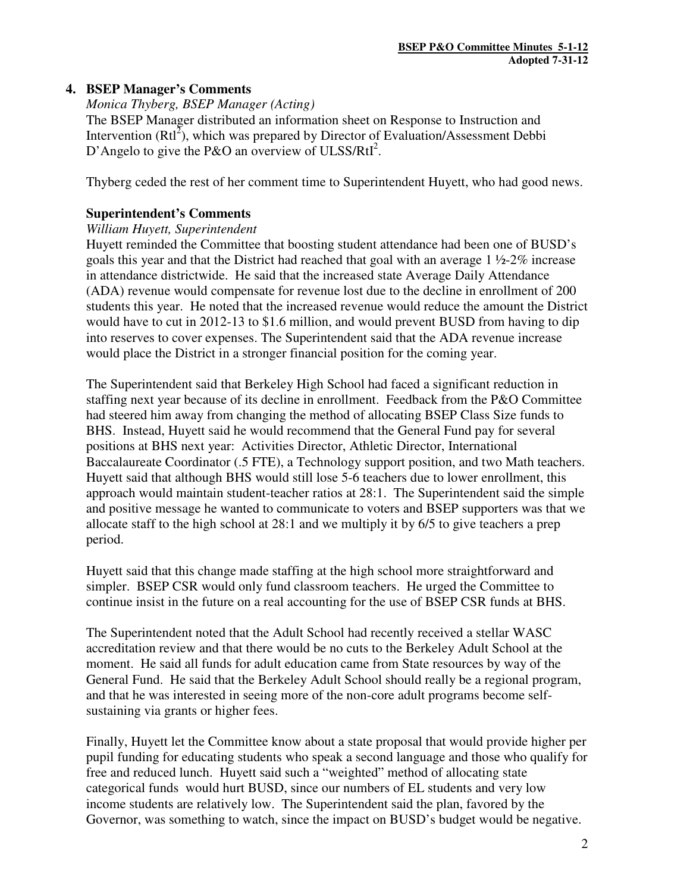# **4. BSEP Manager's Comments**

#### *Monica Thyberg, BSEP Manager (Acting)*

The BSEP Manager distributed an information sheet on Response to Instruction and Intervention  $(RtI<sup>2</sup>)$ , which was prepared by Director of Evaluation/Assessment Debbi D'Angelo to give the P&O an overview of ULSS/RtI<sup>2</sup>.

Thyberg ceded the rest of her comment time to Superintendent Huyett, who had good news.

#### **Superintendent's Comments**

#### *William Huyett, Superintendent*

Huyett reminded the Committee that boosting student attendance had been one of BUSD's goals this year and that the District had reached that goal with an average 1 ½-2% increase in attendance districtwide. He said that the increased state Average Daily Attendance (ADA) revenue would compensate for revenue lost due to the decline in enrollment of 200 students this year. He noted that the increased revenue would reduce the amount the District would have to cut in 2012-13 to \$1.6 million, and would prevent BUSD from having to dip into reserves to cover expenses. The Superintendent said that the ADA revenue increase would place the District in a stronger financial position for the coming year.

The Superintendent said that Berkeley High School had faced a significant reduction in staffing next year because of its decline in enrollment. Feedback from the P&O Committee had steered him away from changing the method of allocating BSEP Class Size funds to BHS. Instead, Huyett said he would recommend that the General Fund pay for several positions at BHS next year: Activities Director, Athletic Director, International Baccalaureate Coordinator (.5 FTE), a Technology support position, and two Math teachers. Huyett said that although BHS would still lose 5-6 teachers due to lower enrollment, this approach would maintain student-teacher ratios at 28:1. The Superintendent said the simple and positive message he wanted to communicate to voters and BSEP supporters was that we allocate staff to the high school at 28:1 and we multiply it by 6/5 to give teachers a prep period.

Huyett said that this change made staffing at the high school more straightforward and simpler. BSEP CSR would only fund classroom teachers. He urged the Committee to continue insist in the future on a real accounting for the use of BSEP CSR funds at BHS.

The Superintendent noted that the Adult School had recently received a stellar WASC accreditation review and that there would be no cuts to the Berkeley Adult School at the moment. He said all funds for adult education came from State resources by way of the General Fund. He said that the Berkeley Adult School should really be a regional program, and that he was interested in seeing more of the non-core adult programs become selfsustaining via grants or higher fees.

Finally, Huyett let the Committee know about a state proposal that would provide higher per pupil funding for educating students who speak a second language and those who qualify for free and reduced lunch. Huyett said such a "weighted" method of allocating state categorical funds would hurt BUSD, since our numbers of EL students and very low income students are relatively low. The Superintendent said the plan, favored by the Governor, was something to watch, since the impact on BUSD's budget would be negative.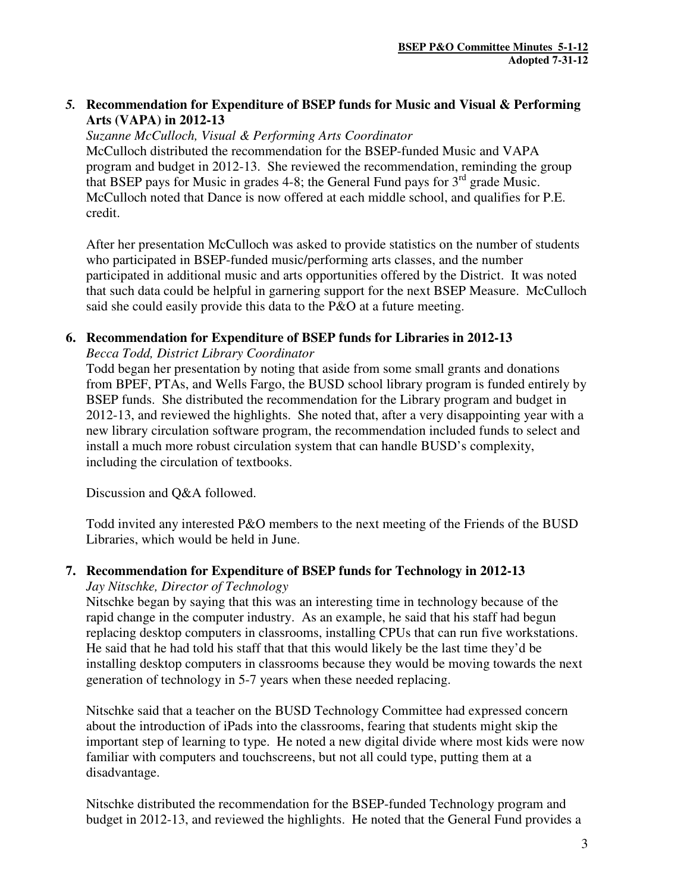# *5.* **Recommendation for Expenditure of BSEP funds for Music and Visual & Performing Arts (VAPA) in 2012-13**

*Suzanne McCulloch, Visual & Performing Arts Coordinator*  McCulloch distributed the recommendation for the BSEP-funded Music and VAPA program and budget in 2012-13. She reviewed the recommendation, reminding the group that BSEP pays for Music in grades 4-8; the General Fund pays for  $3<sup>rd</sup>$  grade Music. McCulloch noted that Dance is now offered at each middle school, and qualifies for P.E. credit.

After her presentation McCulloch was asked to provide statistics on the number of students who participated in BSEP-funded music/performing arts classes, and the number participated in additional music and arts opportunities offered by the District. It was noted that such data could be helpful in garnering support for the next BSEP Measure. McCulloch said she could easily provide this data to the P&O at a future meeting.

# **6. Recommendation for Expenditure of BSEP funds for Libraries in 2012-13**

#### *Becca Todd, District Library Coordinator*

Todd began her presentation by noting that aside from some small grants and donations from BPEF, PTAs, and Wells Fargo, the BUSD school library program is funded entirely by BSEP funds. She distributed the recommendation for the Library program and budget in 2012-13, and reviewed the highlights. She noted that, after a very disappointing year with a new library circulation software program, the recommendation included funds to select and install a much more robust circulation system that can handle BUSD's complexity, including the circulation of textbooks.

Discussion and Q&A followed.

Todd invited any interested P&O members to the next meeting of the Friends of the BUSD Libraries, which would be held in June.

# **7. Recommendation for Expenditure of BSEP funds for Technology in 2012-13**

#### *Jay Nitschke, Director of Technology*

Nitschke began by saying that this was an interesting time in technology because of the rapid change in the computer industry. As an example, he said that his staff had begun replacing desktop computers in classrooms, installing CPUs that can run five workstations. He said that he had told his staff that that this would likely be the last time they'd be installing desktop computers in classrooms because they would be moving towards the next generation of technology in 5-7 years when these needed replacing.

Nitschke said that a teacher on the BUSD Technology Committee had expressed concern about the introduction of iPads into the classrooms, fearing that students might skip the important step of learning to type. He noted a new digital divide where most kids were now familiar with computers and touchscreens, but not all could type, putting them at a disadvantage.

Nitschke distributed the recommendation for the BSEP-funded Technology program and budget in 2012-13, and reviewed the highlights. He noted that the General Fund provides a